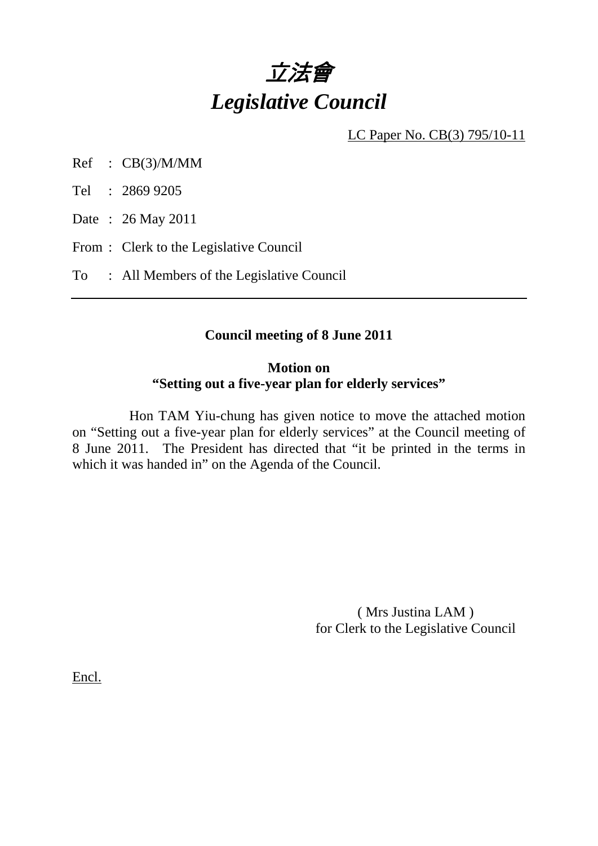

LC Paper No. CB(3) 795/10-11

Ref : CB(3)/M/MM

Tel : 2869 9205

Date : 26 May 2011

From : Clerk to the Legislative Council

To : All Members of the Legislative Council

### **Council meeting of 8 June 2011**

### **Motion on "Setting out a five-year plan for elderly services"**

 Hon TAM Yiu-chung has given notice to move the attached motion on "Setting out a five-year plan for elderly services" at the Council meeting of 8 June 2011. The President has directed that "it be printed in the terms in which it was handed in" on the Agenda of the Council.

> ( Mrs Justina LAM ) for Clerk to the Legislative Council

Encl.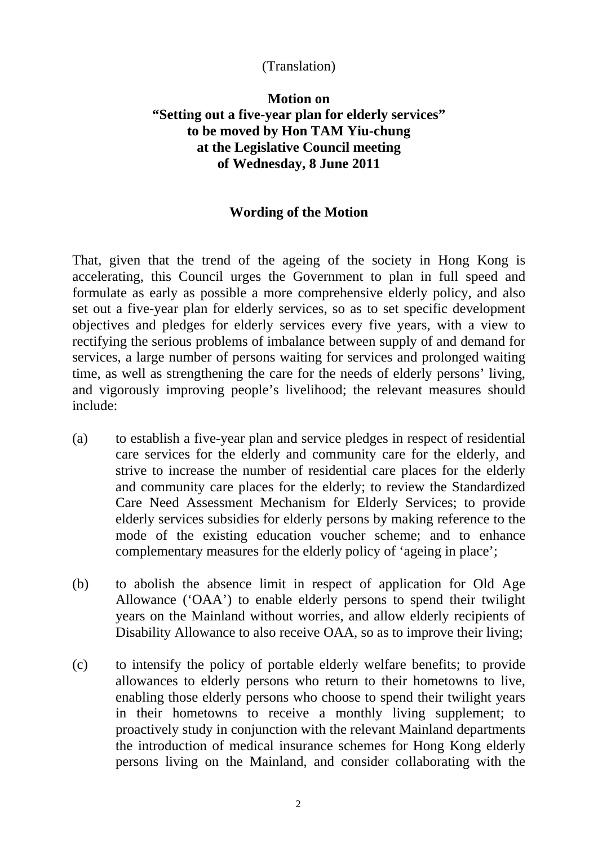## (Translation)

# **Motion on "Setting out a five-year plan for elderly services" to be moved by Hon TAM Yiu-chung at the Legislative Council meeting of Wednesday, 8 June 2011**

### **Wording of the Motion**

That, given that the trend of the ageing of the society in Hong Kong is accelerating, this Council urges the Government to plan in full speed and formulate as early as possible a more comprehensive elderly policy, and also set out a five-year plan for elderly services, so as to set specific development objectives and pledges for elderly services every five years, with a view to rectifying the serious problems of imbalance between supply of and demand for services, a large number of persons waiting for services and prolonged waiting time, as well as strengthening the care for the needs of elderly persons' living, and vigorously improving people's livelihood; the relevant measures should include:

- (a) to establish a five-year plan and service pledges in respect of residential care services for the elderly and community care for the elderly, and strive to increase the number of residential care places for the elderly and community care places for the elderly; to review the Standardized Care Need Assessment Mechanism for Elderly Services; to provide elderly services subsidies for elderly persons by making reference to the mode of the existing education voucher scheme; and to enhance complementary measures for the elderly policy of 'ageing in place';
- (b) to abolish the absence limit in respect of application for Old Age Allowance ('OAA') to enable elderly persons to spend their twilight years on the Mainland without worries, and allow elderly recipients of Disability Allowance to also receive OAA, so as to improve their living;
- (c) to intensify the policy of portable elderly welfare benefits; to provide allowances to elderly persons who return to their hometowns to live, enabling those elderly persons who choose to spend their twilight years in their hometowns to receive a monthly living supplement; to proactively study in conjunction with the relevant Mainland departments the introduction of medical insurance schemes for Hong Kong elderly persons living on the Mainland, and consider collaborating with the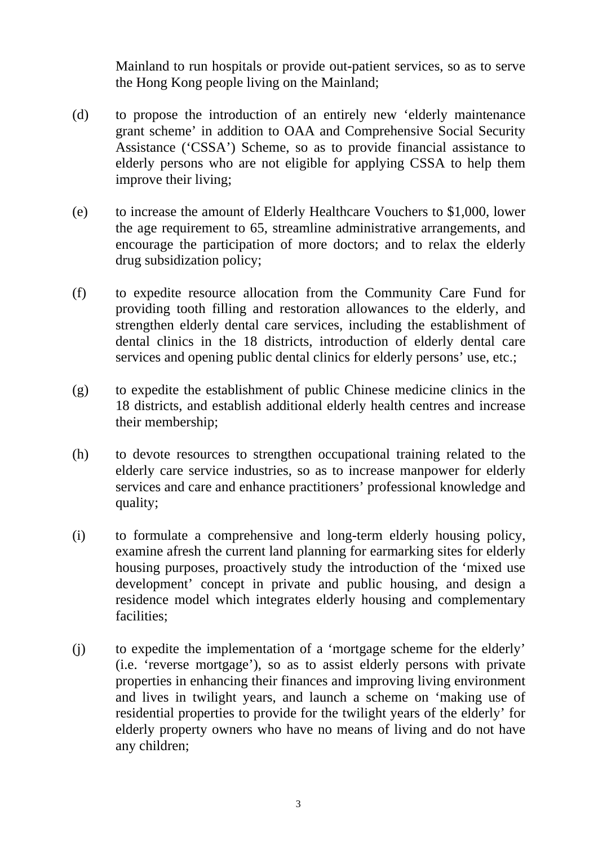Mainland to run hospitals or provide out-patient services, so as to serve the Hong Kong people living on the Mainland;

- (d) to propose the introduction of an entirely new 'elderly maintenance grant scheme' in addition to OAA and Comprehensive Social Security Assistance ('CSSA') Scheme, so as to provide financial assistance to elderly persons who are not eligible for applying CSSA to help them improve their living;
- (e) to increase the amount of Elderly Healthcare Vouchers to \$1,000, lower the age requirement to 65, streamline administrative arrangements, and encourage the participation of more doctors; and to relax the elderly drug subsidization policy;
- (f) to expedite resource allocation from the Community Care Fund for providing tooth filling and restoration allowances to the elderly, and strengthen elderly dental care services, including the establishment of dental clinics in the 18 districts, introduction of elderly dental care services and opening public dental clinics for elderly persons' use, etc.;
- (g) to expedite the establishment of public Chinese medicine clinics in the 18 districts, and establish additional elderly health centres and increase their membership;
- (h) to devote resources to strengthen occupational training related to the elderly care service industries, so as to increase manpower for elderly services and care and enhance practitioners' professional knowledge and quality;
- (i) to formulate a comprehensive and long-term elderly housing policy, examine afresh the current land planning for earmarking sites for elderly housing purposes, proactively study the introduction of the 'mixed use development' concept in private and public housing, and design a residence model which integrates elderly housing and complementary facilities;
- (j) to expedite the implementation of a 'mortgage scheme for the elderly' (i.e. 'reverse mortgage'), so as to assist elderly persons with private properties in enhancing their finances and improving living environment and lives in twilight years, and launch a scheme on 'making use of residential properties to provide for the twilight years of the elderly' for elderly property owners who have no means of living and do not have any children;